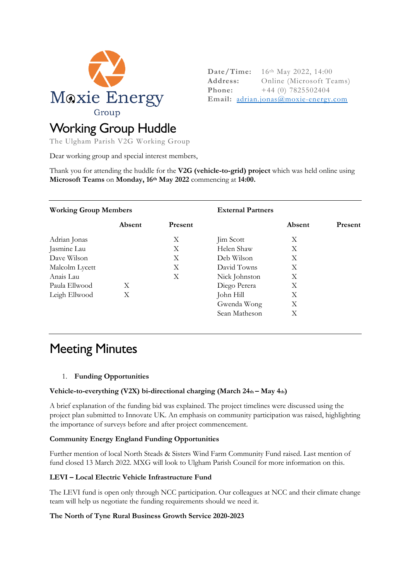

**Date/Time:** 16th May 2022, 14:00 **Address:** Online (Microsoft Teams) **Phone:**  $+44$  (0) 7825502404 **Email:** adrian.jonas@moxie-energy.com

# Working Group Huddle

The Ulgham Parish V2G Working Group

Dear working group and special interest members,

Thank you for attending the huddle for the **V2G (vehicle-to-grid) project** which was held online using **Microsoft Teams** on **Monday, 16th May 2022** commencing at **14:00.** 

**External Partners** 

#### **Working Group Members**

|                | Absent | Present |               | Absent | Present |
|----------------|--------|---------|---------------|--------|---------|
| Adrian Jonas   |        | Χ       | Jim Scott     | Χ      |         |
| Jasmine Lau    |        | Χ       | Helen Shaw    | Χ      |         |
| Dave Wilson    |        | Χ       | Deb Wilson    | Χ      |         |
| Malcolm Lycett |        | Χ       | David Towns   | Χ      |         |
| Anais Lau      |        | Χ       | Nick Johnston | Χ      |         |
| Paula Ellwood  | X      |         | Diego Perera  | Χ      |         |
| Leigh Ellwood  | Χ      |         | John Hill     | Χ      |         |
|                |        |         | Gwenda Wong   | Χ      |         |
|                |        |         | Sean Matheson | Χ      |         |

## Meeting Minutes

## 1. **Funding Opportunities**

#### **Vehicle-to-everything (V2X) bi-directional charging (March 24th – May 4th)**

A brief explanation of the funding bid was explained. The project timelines were discussed using the project plan submitted to Innovate UK. An emphasis on community participation was raised, highlighting the importance of surveys before and after project commencement.

## **Community Energy England Funding Opportunities**

Further mention of local North Steads & Sisters Wind Farm Community Fund raised. Last mention of fund closed 13 March 2022. MXG will look to Ulgham Parish Council for more information on this.

## **LEVI – Local Electric Vehicle Infrastructure Fund**

The LEVI fund is open only through NCC participation. Our colleagues at NCC and their climate change team will help us negotiate the funding requirements should we need it.

#### **The North of Tyne Rural Business Growth Service 2020-2023**